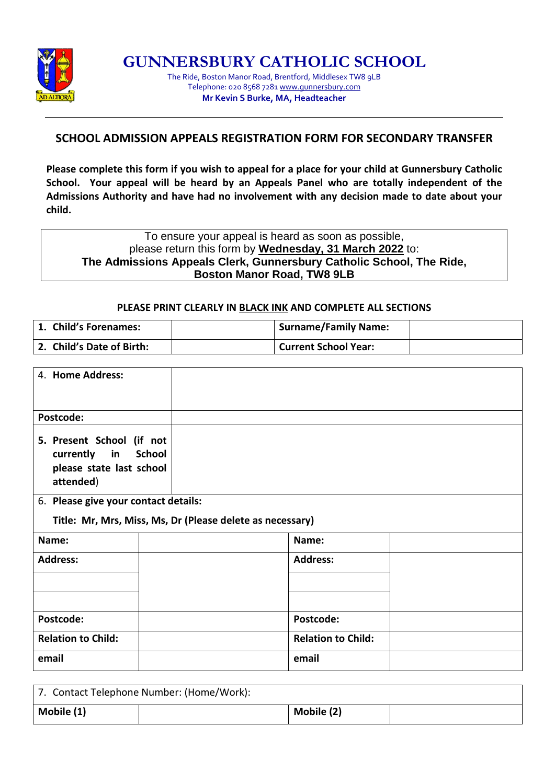

**GUNNERSBURY CATHOLIC SCHOOL**

The Ride, Boston Manor Road, Brentford, Middlesex TW8 9LB Telephone: 020 8568 7281 [www.gunnersbury.com](http://www.gunnersbury.com/) **Mr Kevin S Burke, MA, Headteacher**

## **SCHOOL ADMISSION APPEALS REGISTRATION FORM FOR SECONDARY TRANSFER**

**Please complete this form if you wish to appeal for a place for your child at Gunnersbury Catholic School. Your appeal will be heard by an Appeals Panel who are totally independent of the Admissions Authority and have had no involvement with any decision made to date about your child.**

To ensure your appeal is heard as soon as possible, please return this form by **Wednesday, 31 March 2022** to: **The Admissions Appeals Clerk, Gunnersbury Catholic School, The Ride, Boston Manor Road, TW8 9LB**

## **PLEASE PRINT CLEARLY IN BLACK INK AND COMPLETE ALL SECTIONS**

| 1. Child's Forenames:     | <b>Surname/Family Name:</b> |  |
|---------------------------|-----------------------------|--|
| 2. Child's Date of Birth: | Current School Year:        |  |

| 4. Home Address:                                                                   |               |                           |  |
|------------------------------------------------------------------------------------|---------------|---------------------------|--|
| Postcode:                                                                          |               |                           |  |
|                                                                                    |               |                           |  |
| 5. Present School (if not<br>currently in<br>please state last school<br>attended) | <b>School</b> |                           |  |
| 6. Please give your contact details:                                               |               |                           |  |
| Title: Mr, Mrs, Miss, Ms, Dr (Please delete as necessary)                          |               |                           |  |
| Name:                                                                              |               | Name:                     |  |
| <b>Address:</b>                                                                    |               | <b>Address:</b>           |  |
|                                                                                    |               |                           |  |
|                                                                                    |               |                           |  |
| Postcode:                                                                          |               | Postcode:                 |  |
| <b>Relation to Child:</b>                                                          |               | <b>Relation to Child:</b> |  |
| email                                                                              |               | email                     |  |

| 7. Contact Telephone Number: (Home/Work): |  |            |  |
|-------------------------------------------|--|------------|--|
| Mobile (1)                                |  | Mobile (2) |  |